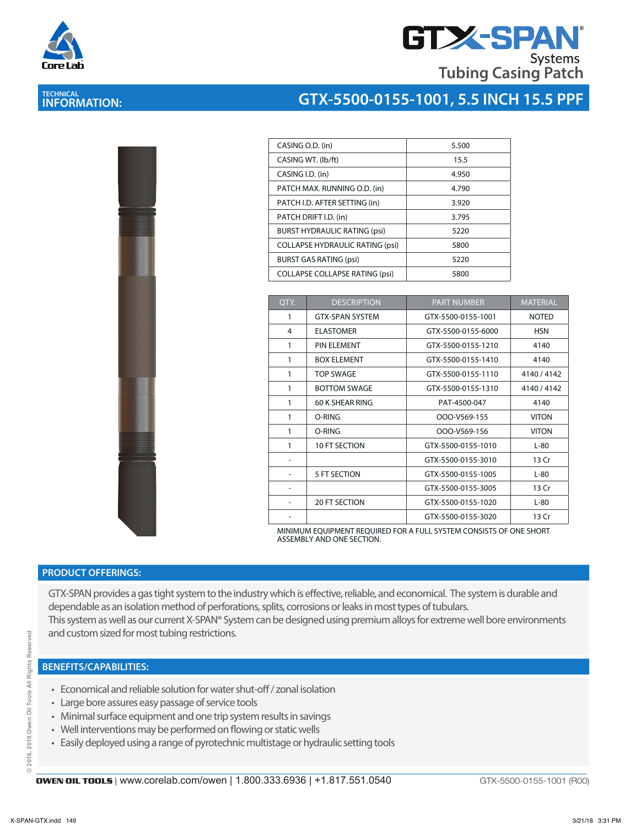

**TECHNICAL INFORMATION:** 

## **GTX-SPAN Systems Tubing Casing Patch**

# **GTX-5500-0155-1001, 5.5 INCH 15.5 PPF**

| CASING O.D. (in)                       | 5.500 |
|----------------------------------------|-------|
| CASING WT. (lb/ft)                     | 15.5  |
| CASING I.D. (in)                       | 4.950 |
| PATCH MAX. RUNNING O.D. (in)           | 4.790 |
| PATCH I.D. AFTER SETTING (in)          | 3.920 |
| PATCH DRIFT I.D. (in)                  | 3.795 |
| <b>BURST HYDRAULIC RATING (psi)</b>    | 5220  |
| <b>COLLAPSE HYDRAULIC RATING (psi)</b> | 5800  |
| <b>BURST GAS RATING (psi)</b>          | 5220  |
| <b>COLLAPSE COLLAPSE RATING (psi)</b>  | 5800  |

| QTY. | <b>DESCRIPTION</b>     | <b>PART NUMBER</b> | <b>MATERIAL</b> |
|------|------------------------|--------------------|-----------------|
| 1    | <b>GTX-SPAN SYSTEM</b> | GTX-5500-0155-1001 | <b>NOTED</b>    |
| 4    | <b>ELASTOMER</b>       | GTX-5500-0155-6000 | <b>HSN</b>      |
| 1    | PIN FI FMFNT           | GTX-5500-0155-1210 | 4140            |
| 1    | <b>BOX ELEMENT</b>     | GTX-5500-0155-1410 | 4140            |
| 1    | <b>TOP SWAGF</b>       | GTX-5500-0155-1110 | 4140 / 4142     |
| 1    | <b>BOTTOM SWAGE</b>    | GTX-5500-0155-1310 | 4140 / 4142     |
| 1    | 60 K SHEAR RING        | PAT-4500-047       | 4140            |
| 1    | O-RING                 | OOO-V569-155       | <b>VITON</b>    |
| 1    | O-RING                 | OOO-V569-156       | <b>VITON</b>    |
| 1    | 10 FT SECTION          | GTX-5500-0155-1010 | $L-80$          |
|      |                        | GTX-5500-0155-3010 | 13 Cr           |
|      | 5 FT SECTION           | GTX-5500-0155-1005 | $L-80$          |
|      |                        | GTX-5500-0155-3005 | 13 Cr           |
| ۰    | <b>20 FT SECTION</b>   | GTX-5500-0155-1020 | $L-80$          |
|      |                        | GTX-5500-0155-3020 | 13 Cr           |

MINIMUM EQUIPMENT REQUIRED FOR A FULL SYSTEM CONSISTS OF ONE SHORT ASSEMBLY AND ONE SECTION.

#### **PRODUCT OFFERINGS:**

GTX-SPAN provides a gas tight system to the industry which is efective, reliable, and economical. The system is durable and dependable as an isolation method of perforations, splits, corrosions or leaks in most types of tubulars. This system as well as our current X-SPAN® System can be designed using premium alloys for extreme well bore environments and custom sized for most tubing restrictions.

#### **BENEFITS/CAPABILITIES:**

- Economical and reliable solution for water shut-off / zonal isolation
- Large bore assures easy passage of service tools
- Minimal surface equipment and one trip system results in savings
- Well interventions may be performed on flowing or static wells
- Easily deployed using a range of pyrotechnic multistage or hydraulic setting tools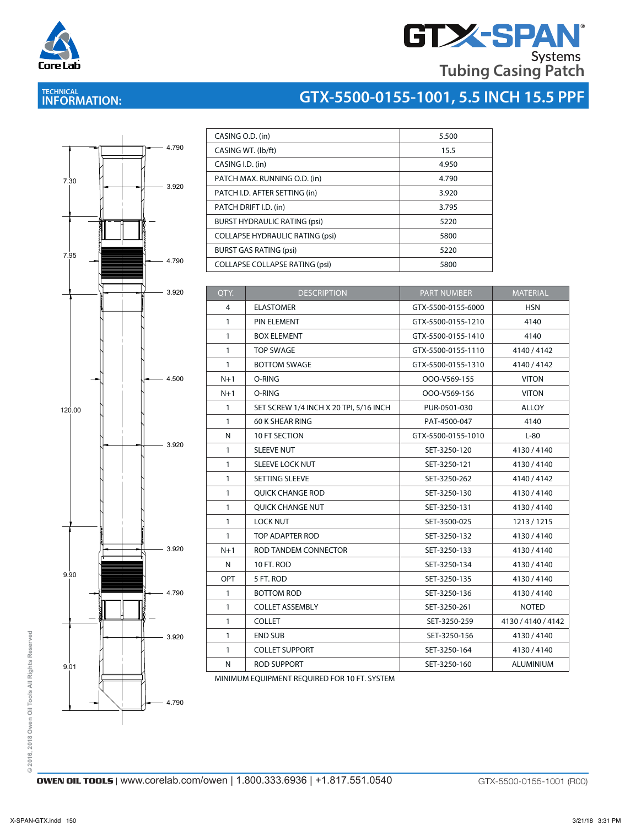

# **GTX-SPAN Tubing Casing Patch**

# **TECHNICAL INFORMATION:**

# **GTX-5500-0155-1001, 5.5 INCH 15.5 PPF**



| CASING O.D. (in)                       | 5.500 |
|----------------------------------------|-------|
| CASING WT. (lb/ft)                     | 15.5  |
| CASING I.D. (in)                       | 4.950 |
| PATCH MAX. RUNNING O.D. (in)           | 4.790 |
| PATCH I.D. AFTER SETTING (in)          | 3.920 |
| PATCH DRIFT I.D. (in)                  | 3.795 |
| <b>BURST HYDRAULIC RATING (psi)</b>    | 5220  |
| <b>COLLAPSE HYDRAULIC RATING (psi)</b> | 5800  |
| <b>BURST GAS RATING (psi)</b>          | 5220  |
| <b>COLLAPSE COLLAPSE RATING (psi)</b>  | 5800  |

| QTY.         | <b>DESCRIPTION</b>                     | <b>PART NUMBER</b> | <b>MATERIAL</b>    |
|--------------|----------------------------------------|--------------------|--------------------|
| 4            | <b>ELASTOMER</b>                       | GTX-5500-0155-6000 | <b>HSN</b>         |
| 1            | PIN ELEMENT                            | GTX-5500-0155-1210 | 4140               |
| $\mathbf{1}$ | <b>BOX ELEMENT</b>                     | GTX-5500-0155-1410 | 4140               |
| $\mathbf{1}$ | <b>TOP SWAGE</b>                       | GTX-5500-0155-1110 | 4140/4142          |
| 1            | <b>BOTTOM SWAGE</b>                    | GTX-5500-0155-1310 | 4140/4142          |
| $N+1$        | O-RING                                 | OOO-V569-155       | <b>VITON</b>       |
| $N+1$        | O-RING                                 | OOO-V569-156       | <b>VITON</b>       |
| $\mathbf{1}$ | SET SCREW 1/4 INCH X 20 TPI, 5/16 INCH | PUR-0501-030       | ALLOY              |
| 1            | 60 K SHEAR RING                        | PAT-4500-047       | 4140               |
| N            | 10 FT SECTION                          | GTX-5500-0155-1010 | $L-80$             |
| 1            | <b>SLEEVE NUT</b>                      | SET-3250-120       | 4130/4140          |
| 1            | <b>SLEEVE LOCK NUT</b>                 | SET-3250-121       | 4130/4140          |
| 1            | SETTING SLEEVE                         | SET-3250-262       | 4140 / 4142        |
| 1            | <b>QUICK CHANGE ROD</b>                | SET-3250-130       | 4130/4140          |
| 1            | QUICK CHANGE NUT                       | SET-3250-131       | 4130/4140          |
| $\mathbf{1}$ | <b>LOCK NUT</b>                        | SET-3500-025       | 1213/1215          |
| 1            | TOP ADAPTER ROD                        | SET-3250-132       | 4130/4140          |
| $N+1$        | ROD TANDEM CONNECTOR                   | SET-3250-133       | 4130/4140          |
| N            | 10 FT. ROD                             | SET-3250-134       | 4130/4140          |
| <b>OPT</b>   | 5 FT. ROD                              | SET-3250-135       | 4130/4140          |
| 1            | <b>BOTTOM ROD</b>                      | SET-3250-136       | 4130/4140          |
| $\mathbf{1}$ | <b>COLLET ASSEMBLY</b>                 | SET-3250-261       | <b>NOTED</b>       |
| $\mathbf{1}$ | <b>COLLET</b>                          | SET-3250-259       | 4130 / 4140 / 4142 |
| $\mathbf{1}$ | <b>END SUB</b>                         | SET-3250-156       | 4130/4140          |
| 1            | <b>COLLET SUPPORT</b>                  | SET-3250-164       | 4130 / 4140        |
| N            | <b>ROD SUPPORT</b>                     | SET-3250-160       | <b>ALUMINIUM</b>   |

MINIMUM EQUIPMENT REQUIRED FOR 10 FT. SYSTEM

© 2016, 2018 Owen Oil Tools All Rights Reserved **© 2016, 2018 Owen Oil Tools All Rights Reserved**